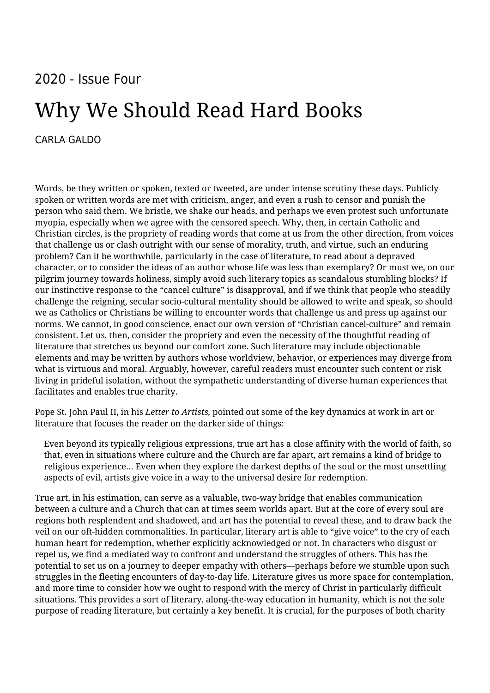## 2020 - Issue Four

## Why We Should Read Hard Books

## [CARLA GALDO](https://humanumreview.com/contributors/carla-galdo)

Words, be they written or spoken, texted or tweeted, are under intense scrutiny these days. Publicly spoken or written words are met with criticism, anger, and even a rush to censor and punish the person who said them. We bristle, we shake our heads, and perhaps we even protest such unfortunate myopia, especially when we agree with the censored speech. Why, then, in certain Catholic and Christian circles, is the propriety of reading words that come at us from the other direction, from voices that challenge us or clash outright with our sense of morality, truth, and virtue, such an enduring problem? Can it be worthwhile, particularly in the case of literature, to read about a depraved character, or to consider the ideas of an author whose life was less than exemplary? Or must we, on our pilgrim journey towards holiness, simply avoid such literary topics as scandalous stumbling blocks? If our instinctive response to the "cancel culture" is disapproval, and if we think that people who steadily challenge the reigning, secular socio-cultural mentality should be allowed to write and speak, so should we as Catholics or Christians be willing to encounter words that challenge us and press up against our norms. We cannot, in good conscience, enact our own version of "Christian cancel-culture" and remain consistent. Let us, then, consider the propriety and even the necessity of the thoughtful reading of literature that stretches us beyond our comfort zone. Such literature may include objectionable elements and may be written by authors whose worldview, behavior, or experiences may diverge from what is virtuous and moral. Arguably, however, careful readers must encounter such content or risk living in prideful isolation, without the sympathetic understanding of diverse human experiences that facilitates and enables true charity.

Pope St. John Paul II, in his *Letter to Artists,* pointed out some of the key dynamics at work in art or literature that focuses the reader on the darker side of things:

Even beyond its typically religious expressions, true art has a close affinity with the world of faith, so that, even in situations where culture and the Church are far apart, art remains a kind of bridge to religious experience… Even when they explore the darkest depths of the soul or the most unsettling aspects of evil, artists give voice in a way to the universal desire for redemption.

True art, in his estimation, can serve as a valuable, two-way bridge that enables communication between a culture and a Church that can at times seem worlds apart. But at the core of every soul are regions both resplendent and shadowed, and art has the potential to reveal these, and to draw back the veil on our oft-hidden commonalities. In particular, literary art is able to "give voice" to the cry of each human heart for redemption, whether explicitly acknowledged or not. In characters who disgust or repel us, we find a mediated way to confront and understand the struggles of others. This has the potential to set us on a journey to deeper empathy with others—perhaps before we stumble upon such struggles in the fleeting encounters of day-to-day life. Literature gives us more space for contemplation, and more time to consider how we ought to respond with the mercy of Christ in particularly difficult situations. This provides a sort of literary, along-the-way education in humanity, which is not the sole purpose of reading literature, but certainly a key benefit. It is crucial, for the purposes of both charity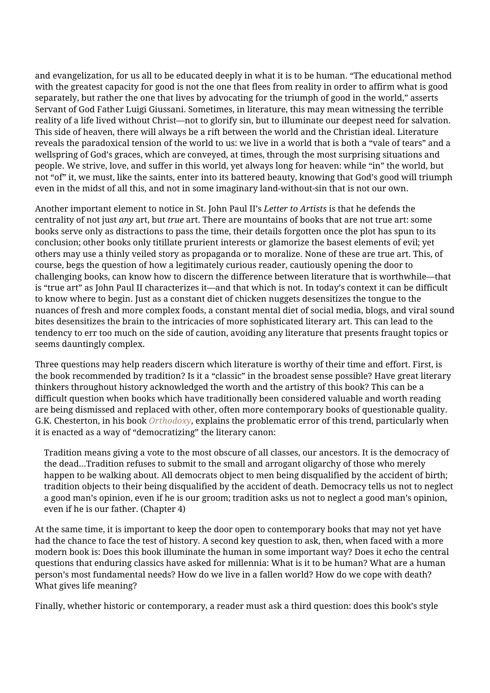and evangelization, for us all to be educated deeply in what it is to be human. "The educational method with the greatest capacity for good is not the one that flees from reality in order to affirm what is good separately, but rather the one that lives by advocating for the triumph of good in the world," asserts Servant of God Father Luigi Giussani. Sometimes, in literature, this may mean witnessing the terrible reality of a life lived without Christ—not to glorify sin, but to illuminate our deepest need for salvation. This side of heaven, there will always be a rift between the world and the Christian ideal. Literature reveals the paradoxical tension of the world to us: we live in a world that is both a "vale of tears" and a wellspring of God's graces, which are conveyed, at times, through the most surprising situations and people. We strive, love, and suffer in this world, yet always long for heaven: while "in" the world, but not "of" it, we must, like the saints, enter into its battered beauty, knowing that God's good will triumph even in the midst of all this, and not in some imaginary land-without-sin that is not our own.

Another important element to notice in St. John Paul II's *Letter to Artists* is that he defends the centrality of not just *any* art, but *true* art. There are mountains of books that are not true art: some books serve only as distractions to pass the time, their details forgotten once the plot has spun to its conclusion; other books only titillate prurient interests or glamorize the basest elements of evil; yet others may use a thinly veiled story as propaganda or to moralize. None of these are true art. This, of course, begs the question of how a legitimately curious reader, cautiously opening the door to challenging books, can know how to discern the difference between literature that is worthwhile—that is "true art" as John Paul II characterizes it—and that which is not. In today's context it can be difficult to know where to begin. Just as a constant diet of chicken nuggets desensitizes the tongue to the nuances of fresh and more complex foods, a constant mental diet of social media, blogs, and viral sound bites desensitizes the brain to the intricacies of more sophisticated literary art. This can lead to the tendency to err too much on the side of caution, avoiding any literature that presents fraught topics or seems dauntingly complex.

Three questions may help readers discern which literature is worthy of their time and effort. First, is the book recommended by tradition? Is it a "classic" in the broadest sense possible? Have great literary thinkers throughout history acknowledged the worth and the artistry of this book? This can be a difficult question when books which have traditionally been considered valuable and worth reading are being dismissed and replaced with other, often more contemporary books of questionable quality. G.K. Chesterton, in his book *[Orthodoxy](https://www.amazon.com/Orthodoxy-G-K-Chesterton/dp/1087200334/ref=sr_1_1_sspa?dchild=1&keywords=chesterton+orthodoxy&qid=1613452727&sr=8-1-spons&psc=1&spLa=ZW5jcnlwdGVkUXVhbGlmaWVyPUExSDdMWE1TVVFXWlVXJmVuY3J5cHRlZElkPUEwNTYyMzg4MVRWVFlBWEhTNVhYVSZlbmNyeXB0)*, explains the problematic error of this trend, particularly when it is enacted as a way of "democratizing" the literary canon:

Tradition means giving a vote to the most obscure of all classes, our ancestors. It is the democracy of the dead...Tradition refuses to submit to the small and arrogant oligarchy of those who merely happen to be walking about. All democrats object to men being disqualified by the accident of birth; tradition objects to their being disqualified by the accident of death. Democracy tells us not to neglect a good man's opinion, even if he is our groom; tradition asks us not to neglect a good man's opinion, even if he is our father. (Chapter 4)

At the same time, it is important to keep the door open to contemporary books that may not yet have had the chance to face the test of history. A second key question to ask, then, when faced with a more modern book is: Does this book illuminate the human in some important way? Does it echo the central questions that enduring classics have asked for millennia: What is it to be human? What are a human person's most fundamental needs? How do we live in a fallen world? How do we cope with death? What gives life meaning?

Finally, whether historic or contemporary, a reader must ask a third question: does this book's style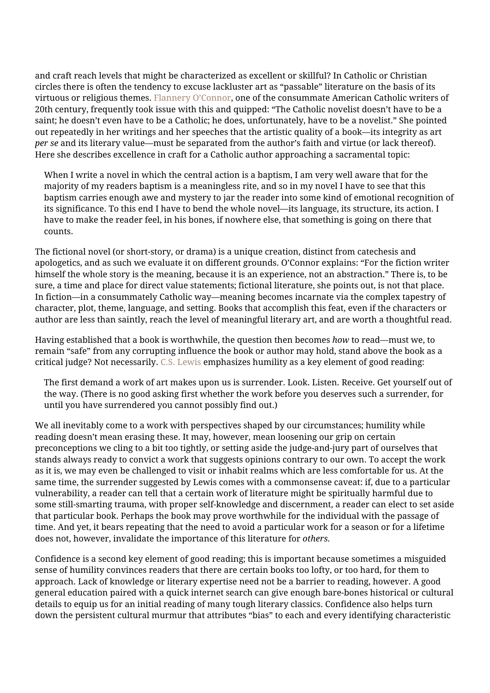and craft reach levels that might be characterized as excellent or skillful? In Catholic or Christian circles there is often the tendency to excuse lackluster art as "passable" literature on the basis of its virtuous or religious themes. [Flannery O'Connor,](https://www.amazon.com/Mystery-Manners-Occasional-Prose-Classics/dp/0374508046/ref=sr_1_1?crid=2QOCAO7V8KLH2&dchild=1&keywords=flannery+o%27connor+mystery+and+manners&qid=1613452858&sprefix=flannery+o%27connor+mystery%2Caps%2C141&sr=8-1) one of the consummate American Catholic writers of 20th century, frequently took issue with this and quipped: "The Catholic novelist doesn't have to be a saint; he doesn't even have to be a Catholic; he does, unfortunately, have to be a novelist." She pointed out repeatedly in her writings and her speeches that the artistic quality of a book—its integrity as art *per se* and its literary value—must be separated from the author's faith and virtue (or lack thereof). Here she describes excellence in craft for a Catholic author approaching a sacramental topic:

When I write a novel in which the central action is a baptism, I am very well aware that for the majority of my readers baptism is a meaningless rite, and so in my novel I have to see that this baptism carries enough awe and mystery to jar the reader into some kind of emotional recognition of its significance. To this end I have to bend the whole novel—its language, its structure, its action. I have to make the reader feel, in his bones, if nowhere else, that something is going on there that counts.

The fictional novel (or short-story, or drama) is a unique creation, distinct from catechesis and apologetics, and as such we evaluate it on different grounds. O'Connor explains: "For the fiction writer himself the whole story is the meaning, because it is an experience, not an abstraction." There is, to be sure, a time and place for direct value statements; fictional literature, she points out, is not that place. In fiction—in a consummately Catholic way—meaning becomes incarnate via the complex tapestry of character, plot, theme, language, and setting. Books that accomplish this feat, even if the characters or author are less than saintly, reach the level of meaningful literary art, and are worth a thoughtful read.

Having established that a book is worthwhile, the question then becomes *how* to read—must we, to remain "safe" from any corrupting influence the book or author may hold, stand above the book as a critical judge? Not necessarily. [C.S. Lewis](https://www.amazon.com/Experiment-Criticism-Canto-Classics/dp/1107604729/ref=sr_1_2?crid=13WV95EU34ZKJ&dchild=1&keywords=an+experiment+in+criticism+cs+lewis&qid=1613452942&sprefix=an+experiment+in%2Caps%2C149&sr=8-2) emphasizes humility as a key element of good reading:

The first demand a work of art makes upon us is surrender. Look. Listen. Receive. Get yourself out of the way. (There is no good asking first whether the work before you deserves such a surrender, for until you have surrendered you cannot possibly find out.)

We all inevitably come to a work with perspectives shaped by our circumstances; humility while reading doesn't mean erasing these. It may, however, mean loosening our grip on certain preconceptions we cling to a bit too tightly, or setting aside the judge-and-jury part of ourselves that stands always ready to convict a work that suggests opinions contrary to our own. To accept the work as it is, we may even be challenged to visit or inhabit realms which are less comfortable for us. At the same time, the surrender suggested by Lewis comes with a commonsense caveat: if, due to a particular vulnerability, a reader can tell that a certain work of literature might be spiritually harmful due to some still-smarting trauma, with proper self-knowledge and discernment, a reader can elect to set aside that particular book. Perhaps the book may prove worthwhile for the individual with the passage of time. And yet, it bears repeating that the need to avoid a particular work for a season or for a lifetime does not, however, invalidate the importance of this literature for *others.*

Confidence is a second key element of good reading; this is important because sometimes a misguided sense of humility convinces readers that there are certain books too lofty, or too hard, for them to approach. Lack of knowledge or literary expertise need not be a barrier to reading, however. A good general education paired with a quick internet search can give enough bare-bones historical or cultural details to equip us for an initial reading of many tough literary classics. Confidence also helps turn down the persistent cultural murmur that attributes "bias" to each and every identifying characteristic